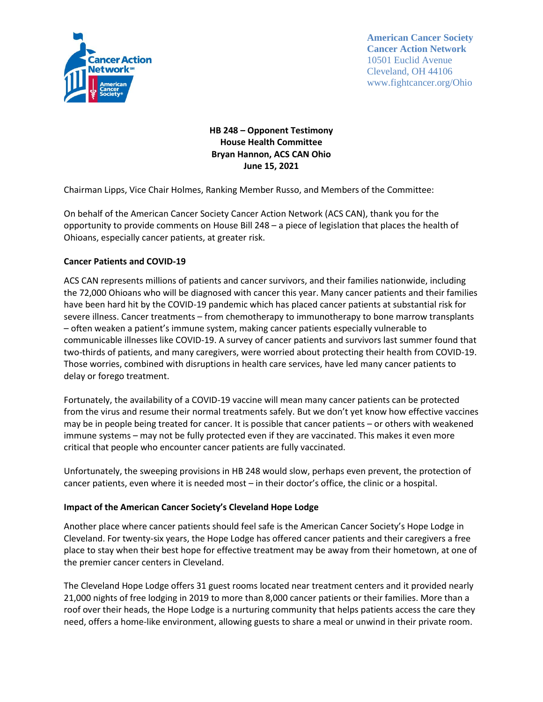

**American Cancer Society Cancer Action Network** 10501 Euclid Avenue Cleveland, OH 44106 www.fightcancer.org/Ohio

# **HB 248 – Opponent Testimony House Health Committee Bryan Hannon, ACS CAN Ohio June 15, 2021**

Chairman Lipps, Vice Chair Holmes, Ranking Member Russo, and Members of the Committee:

On behalf of the American Cancer Society Cancer Action Network (ACS CAN), thank you for the opportunity to provide comments on House Bill 248 – a piece of legislation that places the health of Ohioans, especially cancer patients, at greater risk.

### **Cancer Patients and COVID-19**

ACS CAN represents millions of patients and cancer survivors, and their families nationwide, including the 72,000 Ohioans who will be diagnosed with cancer this year. Many cancer patients and their families have been hard hit by the COVID-19 pandemic which has placed cancer patients at substantial risk for severe illness. Cancer treatments – from chemotherapy to immunotherapy to bone marrow transplants – often weaken a patient's immune system, making cancer patients especially vulnerable to communicable illnesses like COVID-19. A survey of cancer patients and survivors last summer found that two-thirds of patients, and many caregivers, were worried about protecting their health from COVID-19. Those worries, combined with disruptions in health care services, have led many cancer patients to delay or forego treatment.

Fortunately, the availability of a COVID-19 vaccine will mean many cancer patients can be protected from the virus and resume their normal treatments safely. But we don't yet know how effective vaccines may be in people being treated for cancer. It is possible that cancer patients – or others with weakened immune systems – may not be fully protected even if they are vaccinated. This makes it even more critical that people who encounter cancer patients are fully vaccinated.

Unfortunately, the sweeping provisions in HB 248 would slow, perhaps even prevent, the protection of cancer patients, even where it is needed most – in their doctor's office, the clinic or a hospital.

#### **Impact of the American Cancer Society's Cleveland Hope Lodge**

Another place where cancer patients should feel safe is the American Cancer Society's Hope Lodge in Cleveland. For twenty-six years, the Hope Lodge has offered cancer patients and their caregivers a free place to stay when their best hope for effective treatment may be away from their hometown, at one of the premier cancer centers in Cleveland.

The Cleveland Hope Lodge offers 31 guest rooms located near treatment centers and it provided nearly 21,000 nights of free lodging in 2019 to more than 8,000 cancer patients or their families. More than a roof over their heads, the Hope Lodge is a nurturing community that helps patients access the care they need, offers a home-like environment, allowing guests to share a meal or unwind in their private room.